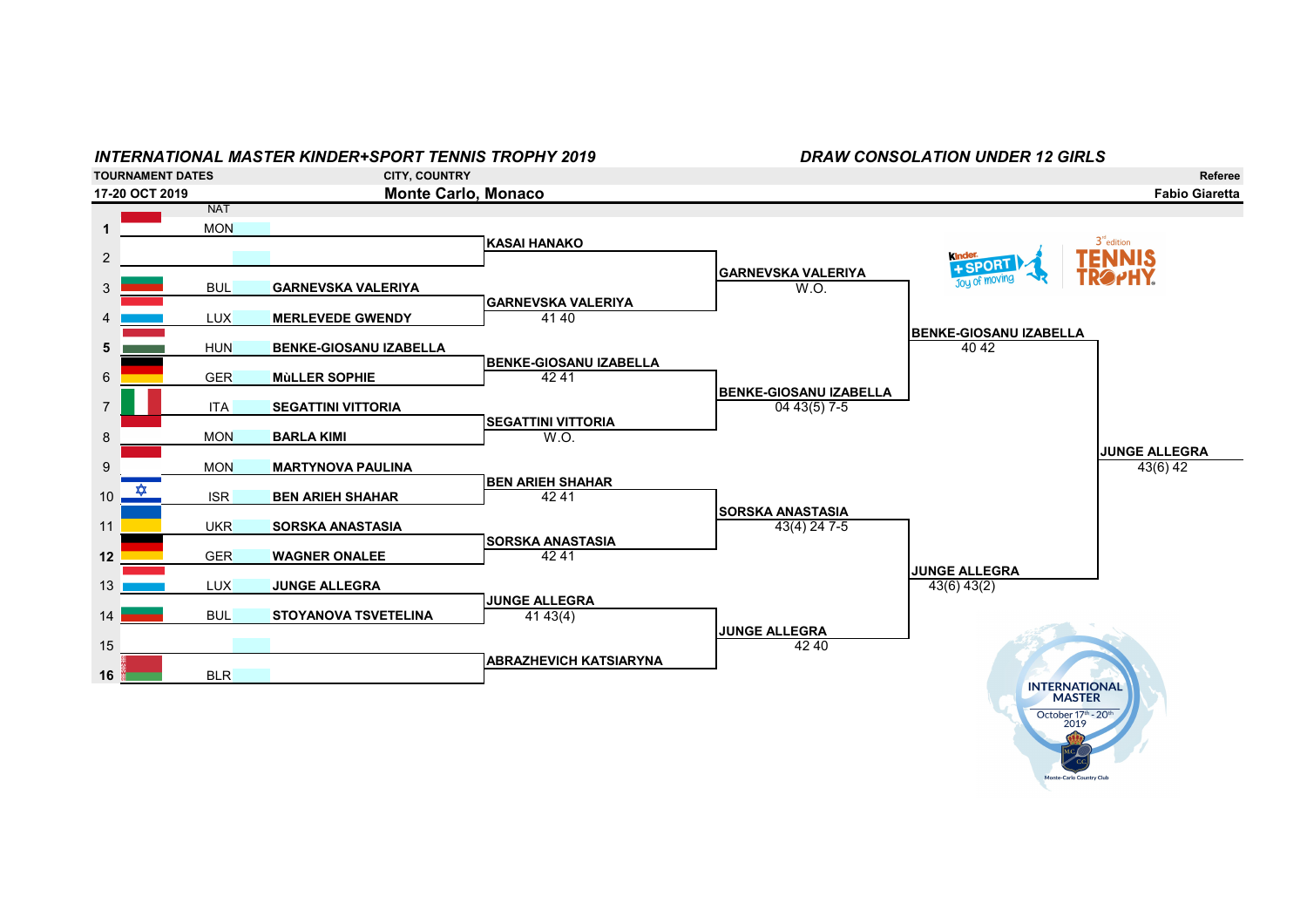## INTERNATIONAL MASTER KINDER+SPORT TENNIS TROPHY 2019 DRAW CONSOLATION UNDER 12 GIRLS TOURNAMENT DATES CITY, COUNTRY Referee 17-20 OCT 2019 Monte Carlo, Monaco Fabio Giaretta **NAT** 1 MON  $3^{\text{nd}}$ edition KASAI HANAKO **TENNIS** 2 kinde + SPORT GARNEVSKA VALERIYA Joy of moving 3 BUL GARNEVSKA VALERIYA WARELLARIYA W.O. GARNEVSKA VALERIYA 4 **LUX MERLEVEDE GWENDY** BENKE-GIOSANU IZABELLA 5 **HUN BENKE-GIOSANU IZABELLA** BENKE-GIOSANU IZABELLA 6 **GER** MùLLER SOPHIE 42 41 BENKE-GIOSANU IZABELLA 7 **ITA SEGATTINI VITTORIA SEGATTINI VITTORIA** 8 MON BARLA KIMI JUNGE ALLEGRA 9 MON MARTYNOVA PAULINA BEN ARIEH SHAHAR 10  $\frac{\cancel{x}}{42.41}$  ISR BEN ARIEH SHAHAR  $\frac{12.41}{42.41}$ SORSKA ANASTASIA 11 UKR SORSKA ANASTASIA 43(4) 24 7-5 SORSKA ANASTASIA 12 GER WAGNER ONALEE 42 41 JUNGE ALLEGRA 13 **LUX** JUNGE ALLEGRA 43(6) 43(2) 43(6) 43(2) JUNGE ALLEGRA 14 BUL STOYANOVA TSVETELINA 14 41 43(4) **JUNGE ALLEGRA**<br>42 40 15 **42 40 42 40 42 40 42 40 42 40 42 40 42 40 42 40 42 40 42 40 42 40 42 40 42 40 42 40 42 40 4** ABRAZHEVICH KATSIARYNA  $16$   $BLR$ INTERNATIONAL October 17th - 20th 2019

**nte-Carlo Country Clu**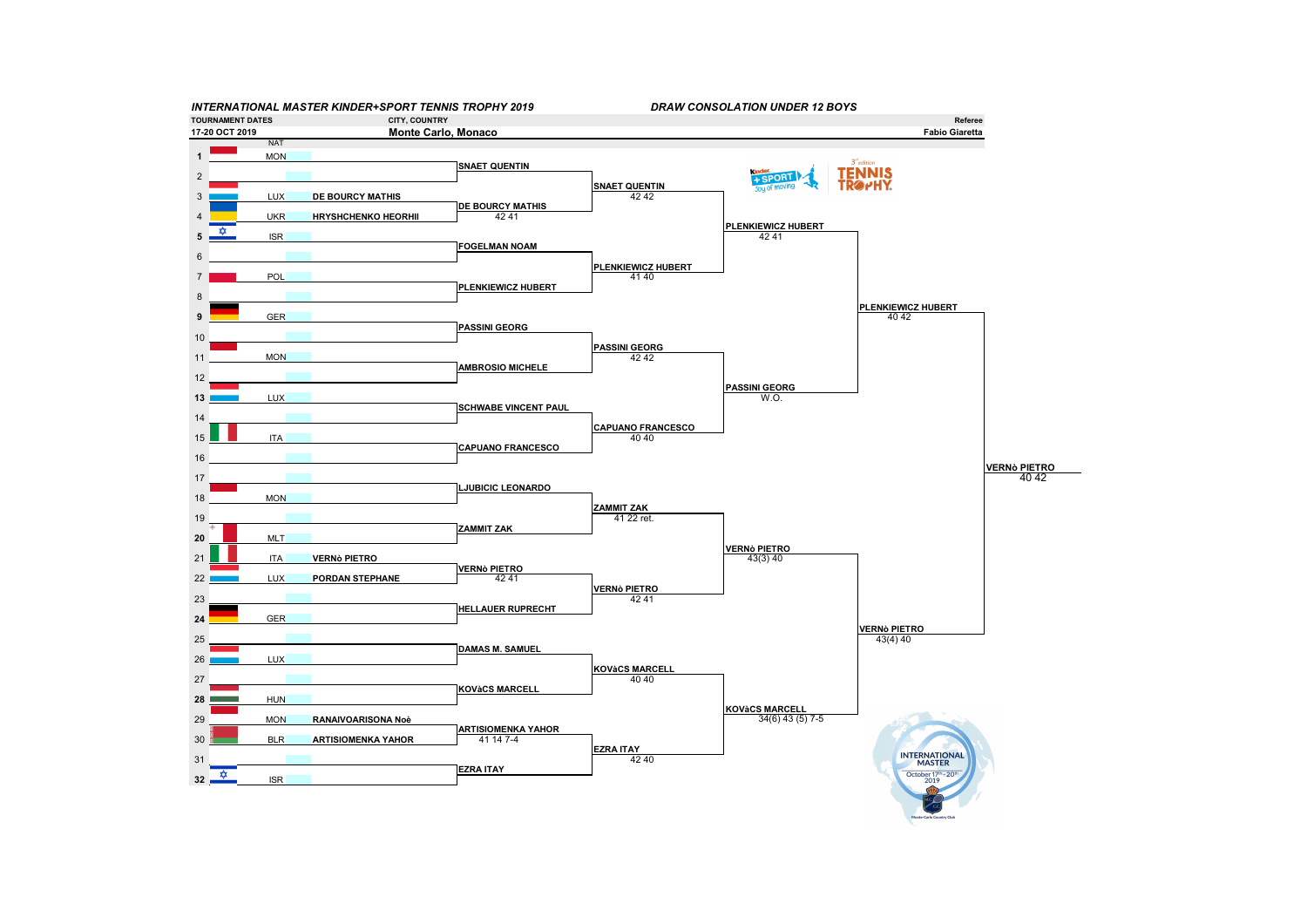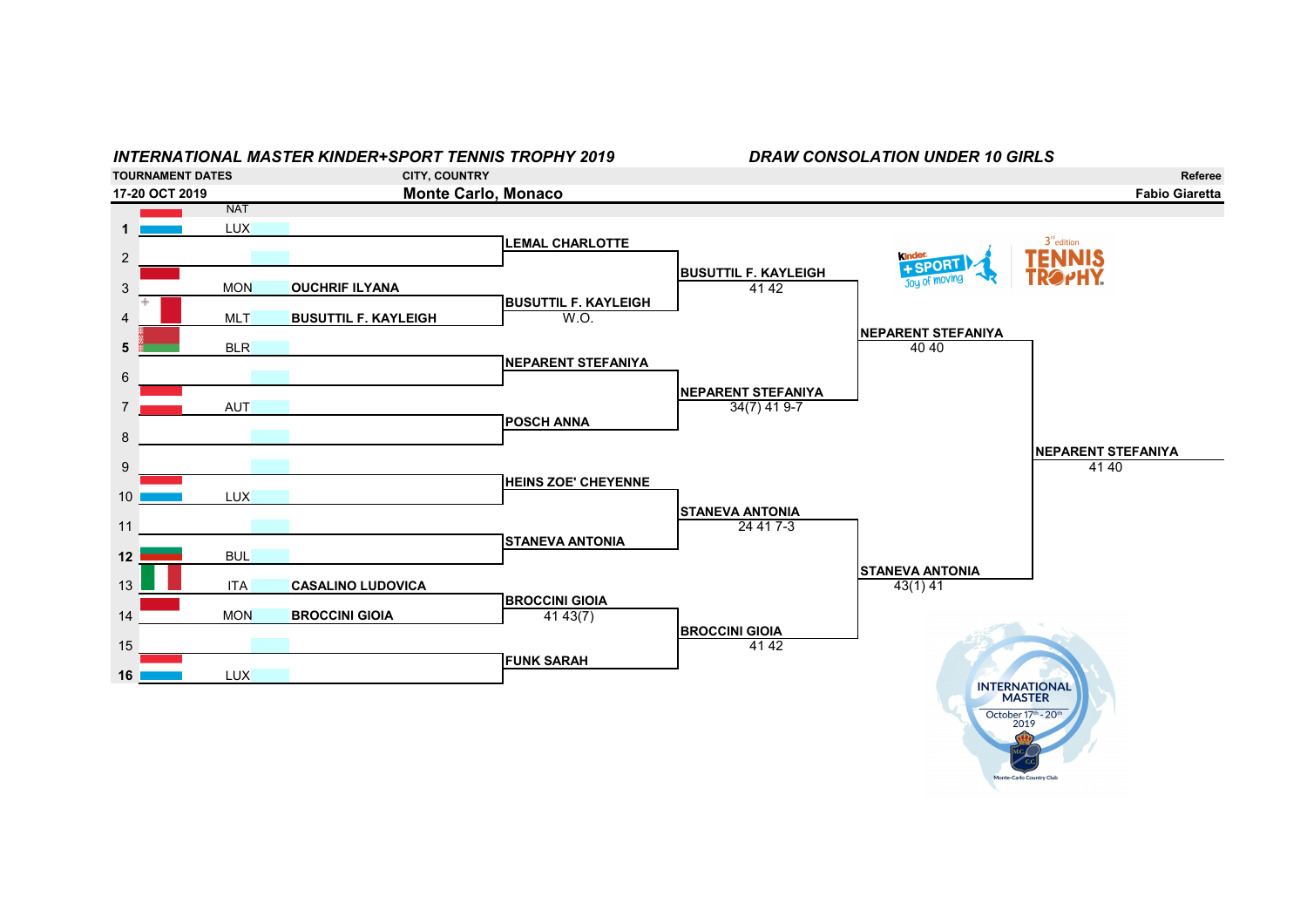